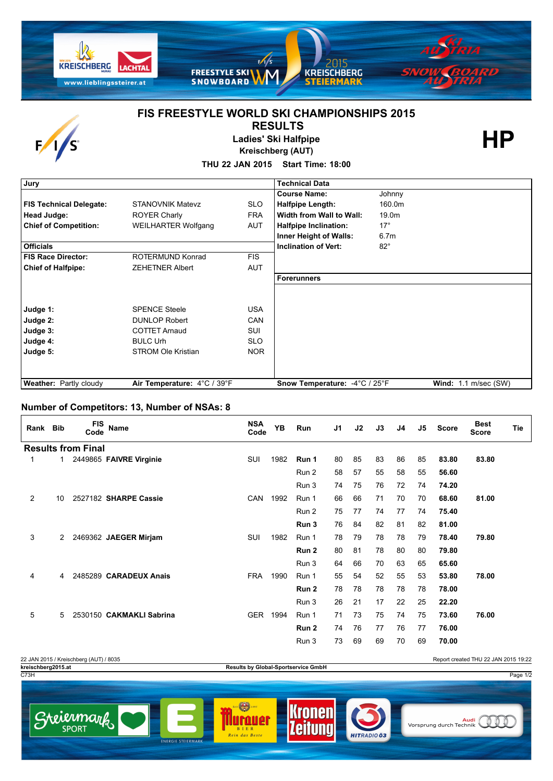

## **FIS FREESTYLE WORLD SKI CHAMPIONSHIPS 2015 RESULTS**



**Ladies' Ski Halfpipe**

**Kreischberg (AUT)**

**HP**

**THU 22 JAN 2015 Start Time: 18:00**

| Jury                           |                             |            | <b>Technical Data</b>         |            |                        |
|--------------------------------|-----------------------------|------------|-------------------------------|------------|------------------------|
|                                |                             |            | <b>Course Name:</b>           | Johnny     |                        |
| <b>FIS Technical Delegate:</b> | <b>STANOVNIK Matevz</b>     | <b>SLO</b> | <b>Halfpipe Length:</b>       | 160.0m     |                        |
| Head Judge:                    | <b>ROYER Charly</b>         | <b>FRA</b> | Width from Wall to Wall:      | 19.0m      |                        |
| <b>Chief of Competition:</b>   | <b>WEILHARTER Wolfgang</b>  | AUT        | <b>Halfpipe Inclination:</b>  | $17^\circ$ |                        |
|                                |                             |            | Inner Height of Walls:        | 6.7m       |                        |
| <b>Officials</b>               |                             |            | <b>Inclination of Vert:</b>   | $82^\circ$ |                        |
| <b>FIS Race Director:</b>      | ROTERMUND Konrad            | <b>FIS</b> |                               |            |                        |
| <b>Chief of Halfpipe:</b>      | <b>ZEHETNER Albert</b>      | <b>AUT</b> |                               |            |                        |
|                                |                             |            | <b>Forerunners</b>            |            |                        |
|                                |                             |            |                               |            |                        |
|                                |                             |            |                               |            |                        |
| Judge 1:                       | <b>SPENCE Steele</b>        | <b>USA</b> |                               |            |                        |
| Judge 2:                       | <b>DUNLOP Robert</b>        | <b>CAN</b> |                               |            |                        |
| Judge 3:                       | <b>COTTET Arnaud</b>        | <b>SUI</b> |                               |            |                        |
| Judge 4:                       | <b>BULC Urh</b>             | <b>SLO</b> |                               |            |                        |
| Judge 5:                       | STROM Ole Kristian          | <b>NOR</b> |                               |            |                        |
|                                |                             |            |                               |            |                        |
|                                |                             |            |                               |            |                        |
| <b>Weather: Partly cloudy</b>  | Air Temperature: 4°C / 39°F |            | Snow Temperature: -4°C / 25°F |            | Wind: $1.1$ m/sec (SW) |

## **Number of Competitors: 13, Number of NSAs: 8**

| Rank Bib                  |    | <b>FIS</b><br>Code | <b>Name</b>              | <b>NSA</b><br>Code | <b>YB</b> | <b>Run</b> | J <sub>1</sub> | J2 | J3 | J <sub>4</sub> | J5 | <b>Score</b> | <b>Best</b><br><b>Score</b> | Tie |
|---------------------------|----|--------------------|--------------------------|--------------------|-----------|------------|----------------|----|----|----------------|----|--------------|-----------------------------|-----|
| <b>Results from Final</b> |    |                    |                          |                    |           |            |                |    |    |                |    |              |                             |     |
|                           |    |                    | 2449865 FAIVRE Virginie  | <b>SUI</b>         | 1982      | Run 1      | 80             | 85 | 83 | 86             | 85 | 83.80        | 83.80                       |     |
|                           |    |                    |                          |                    |           | Run 2      | 58             | 57 | 55 | 58             | 55 | 56.60        |                             |     |
|                           |    |                    |                          |                    |           | Run 3      | 74             | 75 | 76 | 72             | 74 | 74.20        |                             |     |
| $\overline{2}$            | 10 |                    | 2527182 SHARPE Cassie    | <b>CAN</b>         | 1992      | Run 1      | 66             | 66 | 71 | 70             | 70 | 68.60        | 81.00                       |     |
|                           |    |                    |                          |                    |           | Run 2      | 75             | 77 | 74 | 77             | 74 | 75.40        |                             |     |
|                           |    |                    |                          |                    |           | Run 3      | 76             | 84 | 82 | 81             | 82 | 81.00        |                             |     |
| 3                         | 2  |                    | 2469362 JAEGER Mirjam    | <b>SUI</b>         | 1982      | Run 1      | 78             | 79 | 78 | 78             | 79 | 78.40        | 79.80                       |     |
|                           |    |                    |                          |                    |           | Run 2      | 80             | 81 | 78 | 80             | 80 | 79.80        |                             |     |
|                           |    |                    |                          |                    |           | Run 3      | 64             | 66 | 70 | 63             | 65 | 65.60        |                             |     |
| 4                         | 4  |                    | 2485289 CARADEUX Anais   | <b>FRA</b>         | 1990      | Run 1      | 55             | 54 | 52 | 55             | 53 | 53.80        | 78.00                       |     |
|                           |    |                    |                          |                    |           | Run 2      | 78             | 78 | 78 | 78             | 78 | 78.00        |                             |     |
|                           |    |                    |                          |                    |           | Run 3      | 26             | 21 | 17 | 22             | 25 | 22.20        |                             |     |
| 5                         | 5  |                    | 2530150 CAKMAKLI Sabrina | <b>GER</b>         | 1994      | Run 1      | 71             | 73 | 75 | 74             | 75 | 73.60        | 76.00                       |     |
|                           |    |                    |                          |                    |           | Run 2      | 74             | 76 | 77 | 76             | 77 | 76.00        |                             |     |
|                           |    |                    |                          |                    |           | Run 3      | 73             | 69 | 69 | 70             | 69 | 70.00        |                             |     |

22 JAN 2015 / Kreischberg (AUT) / 8035 Report created THU 22 JAN 2015 19:22 Experiment Control of the Control of the Capital Sports and Control of the Capital Sports of the Control of the Capital Sports of the Capital Sports of the Capital Sports of the Capital Sports of the Capital Sports of the  $Results$  by Global-Sportservice GmbH  $\left(\begin{matrix} 1 & 1 \\ 0 & 1 \end{matrix}\right)$  1495 **Kronen** Steiermark Murauer Norsprung durch Technik<br>Vorsprung durch Technik Zeitung Rein das Besti **HITRADIO Ö3 ENERGIE STEIERMARK**